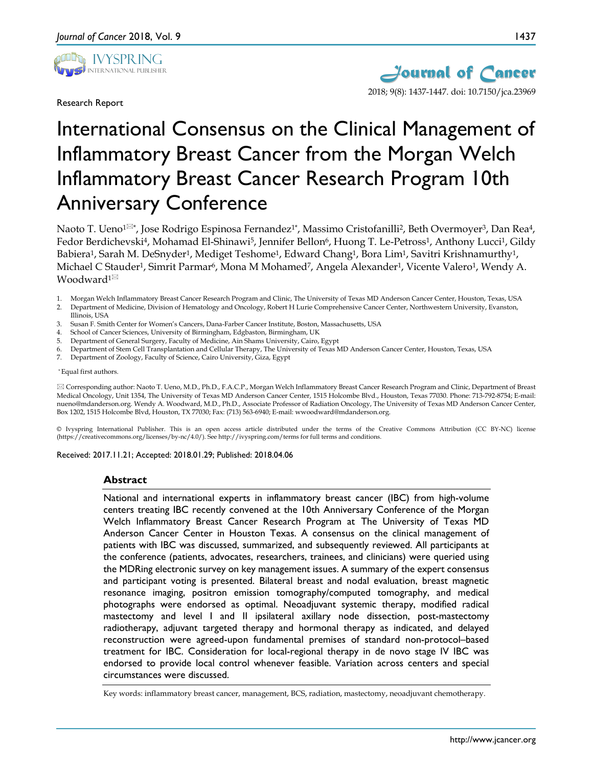

Research Report



# International Consensus on the Clinical Management of Inflammatory Breast Cancer from the Morgan Welch Inflammatory Breast Cancer Research Program 10th Anniversary Conference

Naoto T. Ueno<sup>1 $\boxtimes^*$ </sup>, Jose Rodrigo Espinosa Fernandez<sup>1\*</sup>, Massimo Cristofanilli<sup>2</sup>, Beth Overmoyer<sup>3</sup>, Dan Rea<sup>4</sup>, Fedor Berdichevski<sup>4</sup>, Mohamad El-Shinawi<sup>5</sup>, Jennifer Bellon<sup>6</sup>, Huong T. Le-Petross<sup>1</sup>, Anthony Lucci<sup>1</sup>, Gildy Babiera<sup>1</sup>, Sarah M. DeSnyder<sup>1</sup>, Mediget Teshome<sup>1</sup>, Edward Chang<sup>1</sup>, Bora Lim<sup>1</sup>, Savitri Krishnamurthy<sup>1</sup>, Michael C Stauder<sup>1</sup>, Simrit Parmar<sup>6</sup>, Mona M Mohamed<sup>7</sup>, Angela Alexander<sup>1</sup>, Vicente Valero<sup>1</sup>, Wendy A. Woodward<sup>1⊠</sup>

- 1. Morgan Welch Inflammatory Breast Cancer Research Program and Clinic, The University of Texas MD Anderson Cancer Center, Houston, Texas, USA
- 2. Department of Medicine, Division of Hematology and Oncology, Robert H Lurie Comprehensive Cancer Center, Northwestern University, Evanston, Illinois, USA
- 3. Susan F. Smith Center for Women's Cancers, Dana-Farber Cancer Institute, Boston, Massachusetts, USA
- 4. School of Cancer Sciences, University of Birmingham, Edgbaston, Birmingham, UK
- 5. Department of General Surgery, Faculty of Medicine, Ain Shams University, Cairo, Egypt
- 6. Department of Stem Cell Transplantation and Cellular Therapy, The University of Texas MD Anderson Cancer Center, Houston, Texas, USA
- 7. Department of Zoology, Faculty of Science, Cairo University, Giza, Egypt

\* Equal first authors.

 Corresponding author: Naoto T. Ueno, M.D., Ph.D., F.A.C.P., Morgan Welch Inflammatory Breast Cancer Research Program and Clinic, Department of Breast Medical Oncology, Unit 1354, The University of Texas MD Anderson Cancer Center, 1515 Holcombe Blvd., Houston, Texas 77030. Phone: 713-792-8754; E-mail: nueno@mdanderson.org. Wendy A. Woodward, M.D., Ph.D., Associate Professor of Radiation Oncology, The University of Texas MD Anderson Cancer Center, Box 1202, 1515 Holcombe Blvd, Houston, TX 77030; Fax: (713) 563-6940; E-mail: wwoodward@mdanderson.org.

© Ivyspring International Publisher. This is an open access article distributed under the terms of the Creative Commons Attribution (CC BY-NC) license (https://creativecommons.org/licenses/by-nc/4.0/). See http://ivyspring.com/terms for full terms and conditions.

Received: 2017.11.21; Accepted: 2018.01.29; Published: 2018.04.06

#### **Abstract**

National and international experts in inflammatory breast cancer (IBC) from high-volume centers treating IBC recently convened at the 10th Anniversary Conference of the Morgan Welch Inflammatory Breast Cancer Research Program at The University of Texas MD Anderson Cancer Center in Houston Texas. A consensus on the clinical management of patients with IBC was discussed, summarized, and subsequently reviewed. All participants at the conference (patients, advocates, researchers, trainees, and clinicians) were queried using the MDRing electronic survey on key management issues. A summary of the expert consensus and participant voting is presented. Bilateral breast and nodal evaluation, breast magnetic resonance imaging, positron emission tomography/computed tomography, and medical photographs were endorsed as optimal. Neoadjuvant systemic therapy, modified radical mastectomy and level I and II ipsilateral axillary node dissection, post-mastectomy radiotherapy, adjuvant targeted therapy and hormonal therapy as indicated, and delayed reconstruction were agreed-upon fundamental premises of standard non-protocol–based treatment for IBC. Consideration for local-regional therapy in de novo stage IV IBC was endorsed to provide local control whenever feasible. Variation across centers and special circumstances were discussed.

Key words: inflammatory breast cancer, management, BCS, radiation, mastectomy, neoadjuvant chemotherapy.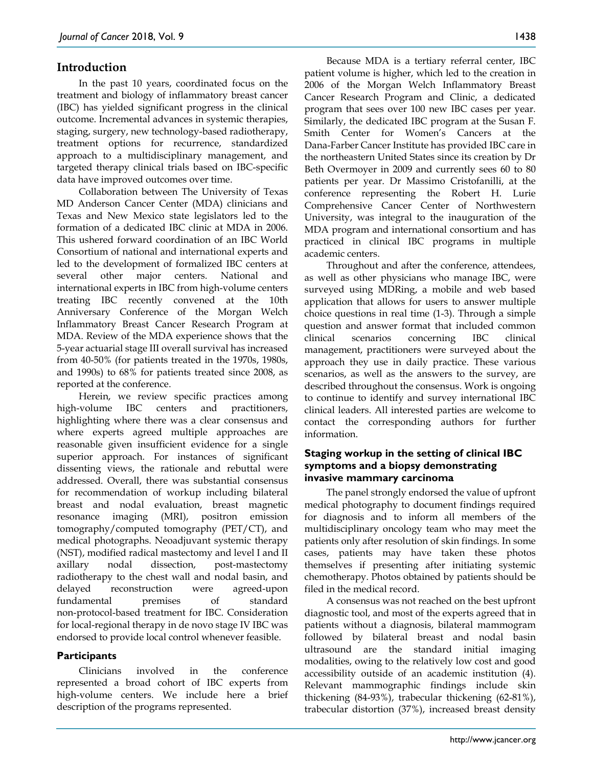# **Introduction**

In the past 10 years, coordinated focus on the treatment and biology of inflammatory breast cancer (IBC) has yielded significant progress in the clinical outcome. Incremental advances in systemic therapies, staging, surgery, new technology-based radiotherapy, treatment options for recurrence, standardized approach to a multidisciplinary management, and targeted therapy clinical trials based on IBC-specific data have improved outcomes over time.

Collaboration between The University of Texas MD Anderson Cancer Center (MDA) clinicians and Texas and New Mexico state legislators led to the formation of a dedicated IBC clinic at MDA in 2006. This ushered forward coordination of an IBC World Consortium of national and international experts and led to the development of formalized IBC centers at several other major centers. National and international experts in IBC from high-volume centers treating IBC recently convened at the 10th Anniversary Conference of the Morgan Welch Inflammatory Breast Cancer Research Program at MDA. Review of the MDA experience shows that the 5-year actuarial stage III overall survival has increased from 40-50% (for patients treated in the 1970s, 1980s, and 1990s) to 68% for patients treated since 2008, as reported at the conference.

Herein, we review specific practices among high-volume IBC centers and practitioners, highlighting where there was a clear consensus and where experts agreed multiple approaches are reasonable given insufficient evidence for a single superior approach. For instances of significant dissenting views, the rationale and rebuttal were addressed. Overall, there was substantial consensus for recommendation of workup including bilateral breast and nodal evaluation, breast magnetic resonance imaging (MRI), positron emission tomography/computed tomography (PET/CT), and medical photographs. Neoadjuvant systemic therapy (NST), modified radical mastectomy and level I and II axillary nodal dissection, post-mastectomy radiotherapy to the chest wall and nodal basin, and delayed reconstruction were agreed-upon fundamental premises of standard non-protocol-based treatment for IBC. Consideration for local-regional therapy in de novo stage IV IBC was endorsed to provide local control whenever feasible.

# **Participants**

Clinicians involved in the conference represented a broad cohort of IBC experts from high-volume centers. We include here a brief description of the programs represented.

Because MDA is a tertiary referral center, IBC patient volume is higher, which led to the creation in 2006 of the Morgan Welch Inflammatory Breast Cancer Research Program and Clinic, a dedicated program that sees over 100 new IBC cases per year. Similarly, the dedicated IBC program at the Susan F. Smith Center for Women's Cancers at the Dana-Farber Cancer Institute has provided IBC care in the northeastern United States since its creation by Dr Beth Overmoyer in 2009 and currently sees 60 to 80 patients per year. Dr Massimo Cristofanilli, at the conference representing the Robert H. Lurie Comprehensive Cancer Center of Northwestern University, was integral to the inauguration of the MDA program and international consortium and has practiced in clinical IBC programs in multiple academic centers.

Throughout and after the conference, attendees, as well as other physicians who manage IBC, were surveyed using MDRing, a mobile and web based application that allows for users to answer multiple choice questions in real time (1-3). Through a simple question and answer format that included common clinical scenarios concerning IBC clinical management, practitioners were surveyed about the approach they use in daily practice. These various scenarios, as well as the answers to the survey, are described throughout the consensus. Work is ongoing to continue to identify and survey international IBC clinical leaders. All interested parties are welcome to contact the corresponding authors for further information.

# **Staging workup in the setting of clinical IBC symptoms and a biopsy demonstrating invasive mammary carcinoma**

The panel strongly endorsed the value of upfront medical photography to document findings required for diagnosis and to inform all members of the multidisciplinary oncology team who may meet the patients only after resolution of skin findings. In some cases, patients may have taken these photos themselves if presenting after initiating systemic chemotherapy. Photos obtained by patients should be filed in the medical record.

A consensus was not reached on the best upfront diagnostic tool, and most of the experts agreed that in patients without a diagnosis, bilateral mammogram followed by bilateral breast and nodal basin ultrasound are the standard initial imaging modalities, owing to the relatively low cost and good accessibility outside of an academic institution (4). Relevant mammographic findings include skin thickening (84-93%), trabecular thickening (62-81%), trabecular distortion (37%), increased breast density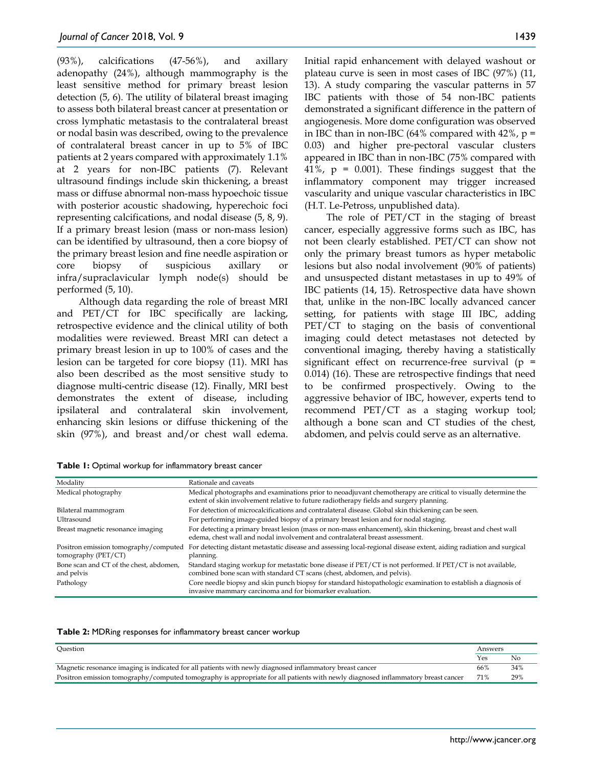(93%), calcifications (47-56%), and axillary adenopathy (24%), although mammography is the least sensitive method for primary breast lesion detection (5, 6). The utility of bilateral breast imaging to assess both bilateral breast cancer at presentation or cross lymphatic metastasis to the contralateral breast or nodal basin was described, owing to the prevalence of contralateral breast cancer in up to 5% of IBC patients at 2 years compared with approximately 1.1% at 2 years for non-IBC patients (7). Relevant ultrasound findings include skin thickening, a breast mass or diffuse abnormal non-mass hypoechoic tissue with posterior acoustic shadowing, hyperechoic foci representing calcifications, and nodal disease (5, 8, 9). If a primary breast lesion (mass or non-mass lesion) can be identified by ultrasound, then a core biopsy of the primary breast lesion and fine needle aspiration or core biopsy of suspicious axillary or infra/supraclavicular lymph node(s) should be performed (5, 10).

Although data regarding the role of breast MRI and PET/CT for IBC specifically are lacking, retrospective evidence and the clinical utility of both modalities were reviewed. Breast MRI can detect a primary breast lesion in up to 100% of cases and the lesion can be targeted for core biopsy (11). MRI has also been described as the most sensitive study to diagnose multi-centric disease (12). Finally, MRI best demonstrates the extent of disease, including ipsilateral and contralateral skin involvement, enhancing skin lesions or diffuse thickening of the skin (97%), and breast and/or chest wall edema.

Initial rapid enhancement with delayed washout or plateau curve is seen in most cases of IBC (97%) (11, 13). A study comparing the vascular patterns in 57 IBC patients with those of 54 non-IBC patients demonstrated a significant difference in the pattern of angiogenesis. More dome configuration was observed in IBC than in non-IBC (64% compared with 42%,  $p =$ 0.03) and higher pre-pectoral vascular clusters appeared in IBC than in non-IBC (75% compared with 41%,  $p = 0.001$ ). These findings suggest that the inflammatory component may trigger increased vascularity and unique vascular characteristics in IBC (H.T. Le-Petross, unpublished data).

The role of PET/CT in the staging of breast cancer, especially aggressive forms such as IBC, has not been clearly established. PET/CT can show not only the primary breast tumors as hyper metabolic lesions but also nodal involvement (90% of patients) and unsuspected distant metastases in up to 49% of IBC patients (14, 15). Retrospective data have shown that, unlike in the non-IBC locally advanced cancer setting, for patients with stage III IBC, adding PET/CT to staging on the basis of conventional imaging could detect metastases not detected by conventional imaging, thereby having a statistically significant effect on recurrence-free survival  $(p =$ 0.014) (16). These are retrospective findings that need to be confirmed prospectively. Owing to the aggressive behavior of IBC, however, experts tend to recommend PET/CT as a staging workup tool; although a bone scan and CT studies of the chest, abdomen, and pelvis could serve as an alternative.

| Modality                                                     | Rationale and caveats                                                                                                                                                                                    |
|--------------------------------------------------------------|----------------------------------------------------------------------------------------------------------------------------------------------------------------------------------------------------------|
| Medical photography                                          | Medical photographs and examinations prior to neoadjuvant chemotherapy are critical to visually determine the<br>extent of skin involvement relative to future radiotherapy fields and surgery planning. |
| Bilateral mammogram                                          | For detection of microcalcifications and contralateral disease. Global skin thickening can be seen.                                                                                                      |
| Ultrasound                                                   | For performing image-guided biopsy of a primary breast lesion and for nodal staging.                                                                                                                     |
| Breast magnetic resonance imaging                            | For detecting a primary breast lesion (mass or non-mass enhancement), skin thickening, breast and chest wall<br>edema, chest wall and nodal involvement and contralateral breast assessment.             |
| Positron emission tomography/computed<br>tomography (PET/CT) | For detecting distant metastatic disease and assessing local-regional disease extent, aiding radiation and surgical<br>planning.                                                                         |
| Bone scan and CT of the chest, abdomen,<br>and pelvis        | Standard staging workup for metastatic bone disease if PET/CT is not performed. If PET/CT is not available,<br>combined bone scan with standard CT scans (chest, abdomen, and pelvis).                   |
| Pathology                                                    | Core needle biopsy and skin punch biopsy for standard histopathologic examination to establish a diagnosis of<br>invasive mammary carcinoma and for biomarker evaluation.                                |

|  |  |  |  |  | Table 1: Optimal workup for inflammatory breast cancer |
|--|--|--|--|--|--------------------------------------------------------|
|--|--|--|--|--|--------------------------------------------------------|

|  |  |  |  |  | Table 2: MDRing responses for inflammatory breast cancer workup |  |  |  |
|--|--|--|--|--|-----------------------------------------------------------------|--|--|--|
|--|--|--|--|--|-----------------------------------------------------------------|--|--|--|

| Ouestion                                                                                                                         | Answers |     |
|----------------------------------------------------------------------------------------------------------------------------------|---------|-----|
|                                                                                                                                  | Yes     | No  |
| Magnetic resonance imaging is indicated for all patients with newly diagnosed inflammatory breast cancer                         | 66%     | 34% |
| Positron emission tomography/computed tomography is appropriate for all patients with newly diagnosed inflammatory breast cancer | 71%     | 29% |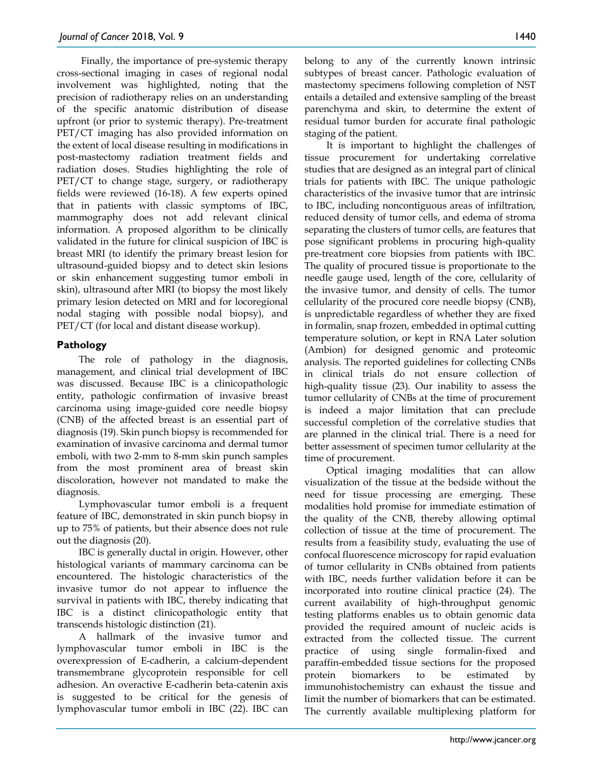Finally, the importance of pre-systemic therapy cross-sectional imaging in cases of regional nodal involvement was highlighted, noting that the precision of radiotherapy relies on an understanding of the specific anatomic distribution of disease upfront (or prior to systemic therapy). Pre-treatment PET/CT imaging has also provided information on the extent of local disease resulting in modifications in post-mastectomy radiation treatment fields and radiation doses. Studies highlighting the role of PET/CT to change stage, surgery, or radiotherapy fields were reviewed (16-18). A few experts opined that in patients with classic symptoms of IBC, mammography does not add relevant clinical information. A proposed algorithm to be clinically validated in the future for clinical suspicion of IBC is breast MRI (to identify the primary breast lesion for ultrasound-guided biopsy and to detect skin lesions or skin enhancement suggesting tumor emboli in skin), ultrasound after MRI (to biopsy the most likely primary lesion detected on MRI and for locoregional nodal staging with possible nodal biopsy), and PET/CT (for local and distant disease workup).

# **Pathology**

The role of pathology in the diagnosis, management, and clinical trial development of IBC was discussed. Because IBC is a clinicopathologic entity, pathologic confirmation of invasive breast carcinoma using image-guided core needle biopsy (CNB) of the affected breast is an essential part of diagnosis (19). Skin punch biopsy is recommended for examination of invasive carcinoma and dermal tumor emboli, with two 2-mm to 8-mm skin punch samples from the most prominent area of breast skin discoloration, however not mandated to make the diagnosis.

Lymphovascular tumor emboli is a frequent feature of IBC, demonstrated in skin punch biopsy in up to 75% of patients, but their absence does not rule out the diagnosis (20).

IBC is generally ductal in origin. However, other histological variants of mammary carcinoma can be encountered. The histologic characteristics of the invasive tumor do not appear to influence the survival in patients with IBC, thereby indicating that IBC is a distinct clinicopathologic entity that transcends histologic distinction (21).

A hallmark of the invasive tumor and lymphovascular tumor emboli in IBC is the overexpression of E-cadherin, a calcium-dependent transmembrane glycoprotein responsible for cell adhesion. An overactive E-cadherin beta-catenin axis is suggested to be critical for the genesis of lymphovascular tumor emboli in IBC (22). IBC can belong to any of the currently known intrinsic subtypes of breast cancer. Pathologic evaluation of mastectomy specimens following completion of NST entails a detailed and extensive sampling of the breast parenchyma and skin, to determine the extent of residual tumor burden for accurate final pathologic staging of the patient.

It is important to highlight the challenges of tissue procurement for undertaking correlative studies that are designed as an integral part of clinical trials for patients with IBC. The unique pathologic characteristics of the invasive tumor that are intrinsic to IBC, including noncontiguous areas of infiltration, reduced density of tumor cells, and edema of stroma separating the clusters of tumor cells, are features that pose significant problems in procuring high-quality pre-treatment core biopsies from patients with IBC. The quality of procured tissue is proportionate to the needle gauge used, length of the core, cellularity of the invasive tumor, and density of cells. The tumor cellularity of the procured core needle biopsy (CNB), is unpredictable regardless of whether they are fixed in formalin, snap frozen, embedded in optimal cutting temperature solution, or kept in RNA Later solution (Ambion) for designed genomic and proteomic analysis. The reported guidelines for collecting CNBs in clinical trials do not ensure collection of high-quality tissue (23). Our inability to assess the tumor cellularity of CNBs at the time of procurement is indeed a major limitation that can preclude successful completion of the correlative studies that are planned in the clinical trial. There is a need for better assessment of specimen tumor cellularity at the time of procurement.

Optical imaging modalities that can allow visualization of the tissue at the bedside without the need for tissue processing are emerging. These modalities hold promise for immediate estimation of the quality of the CNB, thereby allowing optimal collection of tissue at the time of procurement. The results from a feasibility study, evaluating the use of confocal fluorescence microscopy for rapid evaluation of tumor cellularity in CNBs obtained from patients with IBC, needs further validation before it can be incorporated into routine clinical practice (24). The current availability of high-throughput genomic testing platforms enables us to obtain genomic data provided the required amount of nucleic acids is extracted from the collected tissue. The current practice of using single formalin-fixed and paraffin-embedded tissue sections for the proposed protein biomarkers to be estimated by immunohistochemistry can exhaust the tissue and limit the number of biomarkers that can be estimated. The currently available multiplexing platform for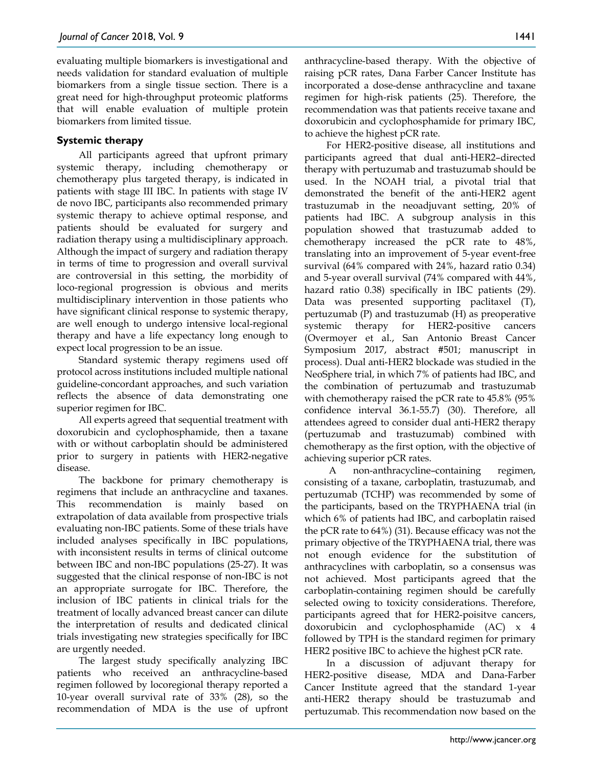evaluating multiple biomarkers is investigational and needs validation for standard evaluation of multiple biomarkers from a single tissue section. There is a great need for high-throughput proteomic platforms that will enable evaluation of multiple protein biomarkers from limited tissue.

# **Systemic therapy**

All participants agreed that upfront primary systemic therapy, including chemotherapy or chemotherapy plus targeted therapy, is indicated in patients with stage III IBC. In patients with stage IV de novo IBC, participants also recommended primary systemic therapy to achieve optimal response, and patients should be evaluated for surgery and radiation therapy using a multidisciplinary approach. Although the impact of surgery and radiation therapy in terms of time to progression and overall survival are controversial in this setting, the morbidity of loco-regional progression is obvious and merits multidisciplinary intervention in those patients who have significant clinical response to systemic therapy, are well enough to undergo intensive local-regional therapy and have a life expectancy long enough to expect local progression to be an issue.

Standard systemic therapy regimens used off protocol across institutions included multiple national guideline-concordant approaches, and such variation reflects the absence of data demonstrating one superior regimen for IBC.

All experts agreed that sequential treatment with doxorubicin and cyclophosphamide, then a taxane with or without carboplatin should be administered prior to surgery in patients with HER2-negative disease.

The backbone for primary chemotherapy is regimens that include an anthracycline and taxanes. This recommendation is mainly based on extrapolation of data available from prospective trials evaluating non-IBC patients. Some of these trials have included analyses specifically in IBC populations, with inconsistent results in terms of clinical outcome between IBC and non-IBC populations (25-27). It was suggested that the clinical response of non-IBC is not an appropriate surrogate for IBC. Therefore, the inclusion of IBC patients in clinical trials for the treatment of locally advanced breast cancer can dilute the interpretation of results and dedicated clinical trials investigating new strategies specifically for IBC are urgently needed.

The largest study specifically analyzing IBC patients who received an anthracycline-based regimen followed by locoregional therapy reported a 10-year overall survival rate of 33% (28), so the recommendation of MDA is the use of upfront anthracycline-based therapy. With the objective of raising pCR rates, Dana Farber Cancer Institute has incorporated a dose-dense anthracycline and taxane regimen for high-risk patients (25). Therefore, the recommendation was that patients receive taxane and doxorubicin and cyclophosphamide for primary IBC, to achieve the highest pCR rate.

For HER2-positive disease, all institutions and participants agreed that dual anti-HER2–directed therapy with pertuzumab and trastuzumab should be used. In the NOAH trial, a pivotal trial that demonstrated the benefit of the anti-HER2 agent trastuzumab in the neoadjuvant setting, 20% of patients had IBC. A subgroup analysis in this population showed that trastuzumab added to chemotherapy increased the pCR rate to 48%, translating into an improvement of 5-year event-free survival (64% compared with 24%, hazard ratio 0.34) and 5-year overall survival (74% compared with 44%, hazard ratio 0.38) specifically in IBC patients (29). Data was presented supporting paclitaxel (T), pertuzumab (P) and trastuzumab (H) as preoperative systemic therapy for HER2-positive cancers (Overmoyer et al., San Antonio Breast Cancer Symposium 2017, abstract #501; manuscript in process). Dual anti-HER2 blockade was studied in the NeoSphere trial, in which 7% of patients had IBC, and the combination of pertuzumab and trastuzumab with chemotherapy raised the pCR rate to 45.8% (95% confidence interval 36.1-55.7) (30). Therefore, all attendees agreed to consider dual anti-HER2 therapy (pertuzumab and trastuzumab) combined with chemotherapy as the first option, with the objective of achieving superior pCR rates.

A non-anthracycline–containing regimen, consisting of a taxane, carboplatin, trastuzumab, and pertuzumab (TCHP) was recommended by some of the participants, based on the TRYPHAENA trial (in which 6% of patients had IBC, and carboplatin raised the pCR rate to 64%) (31). Because efficacy was not the primary objective of the TRYPHAENA trial, there was not enough evidence for the substitution of anthracyclines with carboplatin, so a consensus was not achieved. Most participants agreed that the carboplatin-containing regimen should be carefully selected owing to toxicity considerations. Therefore, participants agreed that for HER2-poisitve cancers, doxorubicin and cyclophosphamide (AC) x 4 followed by TPH is the standard regimen for primary HER2 positive IBC to achieve the highest pCR rate.

In a discussion of adjuvant therapy for HER2-positive disease, MDA and Dana-Farber Cancer Institute agreed that the standard 1-year anti-HER2 therapy should be trastuzumab and pertuzumab. This recommendation now based on the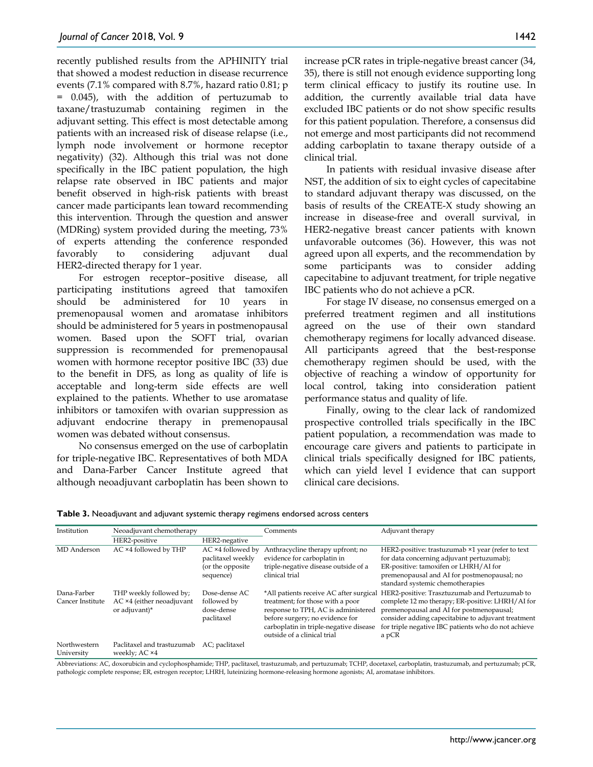recently published results from the APHINITY trial that showed a modest reduction in disease recurrence events (7.1% compared with 8.7%, hazard ratio 0.81; p = 0.045), with the addition of pertuzumab to taxane/trastuzumab containing regimen in the adjuvant setting. This effect is most detectable among patients with an increased risk of disease relapse (i.e., lymph node involvement or hormone receptor negativity) (32). Although this trial was not done specifically in the IBC patient population, the high relapse rate observed in IBC patients and major benefit observed in high-risk patients with breast cancer made participants lean toward recommending this intervention. Through the question and answer (MDRing) system provided during the meeting, 73% of experts attending the conference responded favorably to considering adjuvant dual HER2-directed therapy for 1 year.

For estrogen receptor–positive disease, all participating institutions agreed that tamoxifen should be administered for 10 years in premenopausal women and aromatase inhibitors should be administered for 5 years in postmenopausal women. Based upon the SOFT trial, ovarian suppression is recommended for premenopausal women with hormone receptor positive IBC (33) due to the benefit in DFS, as long as quality of life is acceptable and long-term side effects are well explained to the patients. Whether to use aromatase inhibitors or tamoxifen with ovarian suppression as adjuvant endocrine therapy in premenopausal women was debated without consensus.

No consensus emerged on the use of carboplatin for triple-negative IBC. Representatives of both MDA and Dana-Farber Cancer Institute agreed that although neoadjuvant carboplatin has been shown to

increase pCR rates in triple-negative breast cancer (34, 35), there is still not enough evidence supporting long term clinical efficacy to justify its routine use. In addition, the currently available trial data have excluded IBC patients or do not show specific results for this patient population. Therefore, a consensus did not emerge and most participants did not recommend adding carboplatin to taxane therapy outside of a clinical trial.

In patients with residual invasive disease after NST, the addition of six to eight cycles of capecitabine to standard adjuvant therapy was discussed, on the basis of results of the CREATE-X study showing an increase in disease-free and overall survival, in HER2-negative breast cancer patients with known unfavorable outcomes (36). However, this was not agreed upon all experts, and the recommendation by some participants was to consider adding capecitabine to adjuvant treatment, for triple negative IBC patients who do not achieve a pCR.

For stage IV disease, no consensus emerged on a preferred treatment regimen and all institutions agreed on the use of their own standard chemotherapy regimens for locally advanced disease. All participants agreed that the best-response chemotherapy regimen should be used, with the objective of reaching a window of opportunity for local control, taking into consideration patient performance status and quality of life.

Finally, owing to the clear lack of randomized prospective controlled trials specifically in the IBC patient population, a recommendation was made to encourage care givers and patients to participate in clinical trials specifically designed for IBC patients, which can yield level I evidence that can support clinical care decisions.

**Table 3.** Neoadjuvant and adjuvant systemic therapy regimens endorsed across centers

| Institution                     | Neoadjuvant chemotherapy                                              |                                                                          | Comments                                                                                                                                                                                                                       | Adjuvant therapy                                                                                                                                                                                                                                                    |
|---------------------------------|-----------------------------------------------------------------------|--------------------------------------------------------------------------|--------------------------------------------------------------------------------------------------------------------------------------------------------------------------------------------------------------------------------|---------------------------------------------------------------------------------------------------------------------------------------------------------------------------------------------------------------------------------------------------------------------|
|                                 | HER2-positive                                                         | HER2-negative                                                            |                                                                                                                                                                                                                                |                                                                                                                                                                                                                                                                     |
| MD Anderson                     | AC ×4 followed by THP                                                 | AC ×4 followed by<br>paclitaxel weekly<br>(or the opposite)<br>sequence) | Anthracycline therapy upfront; no<br>evidence for carboplatin in<br>triple-negative disease outside of a<br>clinical trial                                                                                                     | HER2-positive: trastuzumab ×1 year (refer to text<br>for data concerning adjuvant pertuzumab);<br>ER-positive: tamoxifen or LHRH/AI for<br>premenopausal and AI for postmenopausal; no<br>standard systemic chemotherapies                                          |
| Dana-Farber<br>Cancer Institute | THP weekly followed by;<br>AC ×4 (either neoadjuvant<br>or adjuvant)* | Dose-dense AC<br>followed by<br>dose-dense<br>paclitaxel                 | *All patients receive AC after surgical<br>treatment; for those with a poor<br>response to TPH, AC is administered<br>before surgery; no evidence for<br>carboplatin in triple-negative disease<br>outside of a clinical trial | HER2-positive: Trasztuzumab and Pertuzumab to<br>complete 12 mo therapy; ER-positive: LHRH/AI for<br>premenopausal and AI for postmenopausal;<br>consider adding capecitabine to adjuvant treatment<br>for triple negative IBC patients who do not achieve<br>a pCR |
| Northwestern<br>University      | Paclitaxel and trastuzumab<br>weekly; AC ×4                           | AC; paclitaxel                                                           |                                                                                                                                                                                                                                |                                                                                                                                                                                                                                                                     |

Abbreviations: AC, doxorubicin and cyclophosphamide; THP, paclitaxel, trastuzumab, and pertuzumab; TCHP, docetaxel, carboplatin, trastuzumab, and pertuzumab; pCR, pathologic complete response; ER, estrogen receptor; LHRH, luteinizing hormone-releasing hormone agonists; AI, aromatase inhibitors.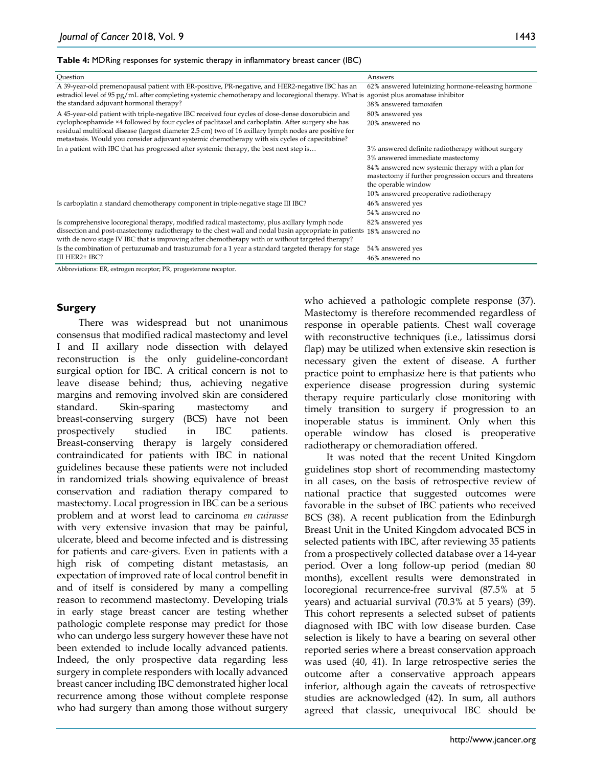| Table 4: MDRing responses for systemic therapy in inflammatory breast cancer (IBC) |  |  |  |
|------------------------------------------------------------------------------------|--|--|--|
|------------------------------------------------------------------------------------|--|--|--|

| Question                                                                                                                                                                                                                                                                                                                                                                                                         | Answers                                                                                                                                                                                                                                                               |
|------------------------------------------------------------------------------------------------------------------------------------------------------------------------------------------------------------------------------------------------------------------------------------------------------------------------------------------------------------------------------------------------------------------|-----------------------------------------------------------------------------------------------------------------------------------------------------------------------------------------------------------------------------------------------------------------------|
| A 39-year-old premenopausal patient with ER-positive, PR-negative, and HER2-negative IBC has an<br>estradiol level of 95 pg/mL after completing systemic chemotherapy and locoregional therapy. What is agonist plus aromatase inhibitor<br>the standard adjuvant hormonal therapy?                                                                                                                              | 62% answered luteinizing hormone-releasing hormone<br>38% answered tamoxifen                                                                                                                                                                                          |
| A 45-year-old patient with triple-negative IBC received four cycles of dose-dense doxorubicin and<br>cyclophosphamide ×4 followed by four cycles of paclitaxel and carboplatin. After surgery she has<br>residual multifocal disease (largest diameter 2.5 cm) two of 16 axillary lymph nodes are positive for<br>metastasis. Would you consider adjuvant systemic chemotherapy with six cycles of capecitabine? | 80% answered yes<br>20% answered no                                                                                                                                                                                                                                   |
| In a patient with IBC that has progressed after systemic therapy, the best next step is                                                                                                                                                                                                                                                                                                                          | 3% answered definite radiotherapy without surgery<br>3% answered immediate mastectomy<br>84% answered new systemic therapy with a plan for<br>mastectomy if further progression occurs and threatens<br>the operable window<br>10% answered preoperative radiotherapy |
| Is carboplatin a standard chemotherapy component in triple-negative stage III IBC?                                                                                                                                                                                                                                                                                                                               | 46% answered yes<br>54% answered no                                                                                                                                                                                                                                   |
| Is comprehensive locoregional therapy, modified radical mastectomy, plus axillary lymph node<br>dissection and post-mastectomy radiotherapy to the chest wall and nodal basin appropriate in patients 18% answered no<br>with de novo stage IV IBC that is improving after chemotherapy with or without targeted therapy?                                                                                        | 82% answered yes                                                                                                                                                                                                                                                      |
| Is the combination of pertuzumab and trastuzumab for a 1 year a standard targeted therapy for stage<br>III HER2+ IBC?                                                                                                                                                                                                                                                                                            | 54% answered yes<br>46% answered no                                                                                                                                                                                                                                   |

Abbreviations: ER, estrogen receptor; PR, progesterone receptor.

#### **Surgery**

There was widespread but not unanimous consensus that modified radical mastectomy and level I and II axillary node dissection with delayed reconstruction is the only guideline-concordant surgical option for IBC. A critical concern is not to leave disease behind; thus, achieving negative margins and removing involved skin are considered standard. Skin-sparing mastectomy and breast-conserving surgery (BCS) have not been prospectively studied in IBC patients. Breast-conserving therapy is largely considered contraindicated for patients with IBC in national guidelines because these patients were not included in randomized trials showing equivalence of breast conservation and radiation therapy compared to mastectomy. Local progression in IBC can be a serious problem and at worst lead to carcinoma *en cuirasse* with very extensive invasion that may be painful, ulcerate, bleed and become infected and is distressing for patients and care-givers. Even in patients with a high risk of competing distant metastasis, an expectation of improved rate of local control benefit in and of itself is considered by many a compelling reason to recommend mastectomy. Developing trials in early stage breast cancer are testing whether pathologic complete response may predict for those who can undergo less surgery however these have not been extended to include locally advanced patients. Indeed, the only prospective data regarding less surgery in complete responders with locally advanced breast cancer including IBC demonstrated higher local recurrence among those without complete response who had surgery than among those without surgery

who achieved a pathologic complete response (37). Mastectomy is therefore recommended regardless of response in operable patients. Chest wall coverage with reconstructive techniques (i.e., latissimus dorsi flap) may be utilized when extensive skin resection is necessary given the extent of disease. A further practice point to emphasize here is that patients who experience disease progression during systemic therapy require particularly close monitoring with timely transition to surgery if progression to an inoperable status is imminent. Only when this operable window has closed is preoperative radiotherapy or chemoradiation offered.

It was noted that the recent United Kingdom guidelines stop short of recommending mastectomy in all cases, on the basis of retrospective review of national practice that suggested outcomes were favorable in the subset of IBC patients who received BCS (38). A recent publication from the Edinburgh Breast Unit in the United Kingdom advocated BCS in selected patients with IBC, after reviewing 35 patients from a prospectively collected database over a 14-year period. Over a long follow-up period (median 80 months), excellent results were demonstrated in locoregional recurrence-free survival (87.5% at 5 years) and actuarial survival (70.3% at 5 years) (39). This cohort represents a selected subset of patients diagnosed with IBC with low disease burden. Case selection is likely to have a bearing on several other reported series where a breast conservation approach was used (40, 41). In large retrospective series the outcome after a conservative approach appears inferior, although again the caveats of retrospective studies are acknowledged (42). In sum, all authors agreed that classic, unequivocal IBC should be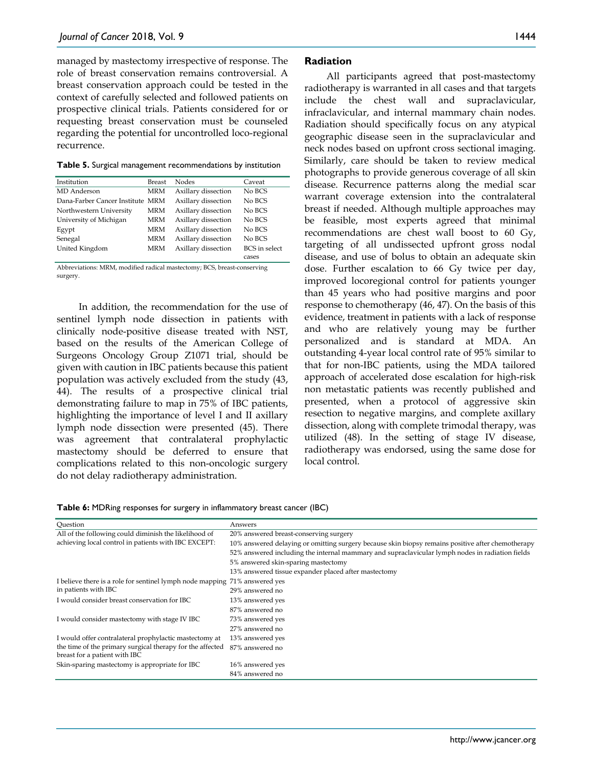managed by mastectomy irrespective of response. The role of breast conservation remains controversial. A breast conservation approach could be tested in the context of carefully selected and followed patients on prospective clinical trials. Patients considered for or requesting breast conservation must be counseled regarding the potential for uncontrolled loco-regional recurrence.

|  |  | Table 5. Surgical management recommendations by institution |  |  |
|--|--|-------------------------------------------------------------|--|--|
|--|--|-------------------------------------------------------------|--|--|

| Institution                      | <b>Breast</b> | Nodes               | Caveat               |
|----------------------------------|---------------|---------------------|----------------------|
| MD Anderson                      | <b>MRM</b>    | Axillary dissection | No BCS               |
| Dana-Farber Cancer Institute MRM |               | Axillary dissection | No BCS               |
| Northwestern University          | <b>MRM</b>    | Axillary dissection | No BCS               |
| University of Michigan           | <b>MRM</b>    | Axillary dissection | No BCS               |
| Egypt                            | <b>MRM</b>    | Axillary dissection | No BCS               |
| Senegal                          | <b>MRM</b>    | Axillary dissection | No BCS               |
| United Kingdom                   | <b>MRM</b>    | Axillary dissection | <b>BCS</b> in select |
|                                  |               |                     | cases                |

Abbreviations: MRM, modified radical mastectomy; BCS, breast-conserving surgery.

In addition, the recommendation for the use of sentinel lymph node dissection in patients with clinically node-positive disease treated with NST, based on the results of the American College of Surgeons Oncology Group Z1071 trial, should be given with caution in IBC patients because this patient population was actively excluded from the study (43, 44). The results of a prospective clinical trial demonstrating failure to map in 75% of IBC patients, highlighting the importance of level I and II axillary lymph node dissection were presented (45). There was agreement that contralateral prophylactic mastectomy should be deferred to ensure that complications related to this non-oncologic surgery do not delay radiotherapy administration.

#### **Radiation**

All participants agreed that post-mastectomy radiotherapy is warranted in all cases and that targets include the chest wall and supraclavicular, infraclavicular, and internal mammary chain nodes. Radiation should specifically focus on any atypical geographic disease seen in the supraclavicular and neck nodes based on upfront cross sectional imaging. Similarly, care should be taken to review medical photographs to provide generous coverage of all skin disease. Recurrence patterns along the medial scar warrant coverage extension into the contralateral breast if needed. Although multiple approaches may be feasible, most experts agreed that minimal recommendations are chest wall boost to 60 Gy, targeting of all undissected upfront gross nodal disease, and use of bolus to obtain an adequate skin dose. Further escalation to 66 Gy twice per day, improved locoregional control for patients younger than 45 years who had positive margins and poor response to chemotherapy (46, 47). On the basis of this evidence, treatment in patients with a lack of response and who are relatively young may be further personalized and is standard at MDA. An outstanding 4-year local control rate of 95% similar to that for non-IBC patients, using the MDA tailored approach of accelerated dose escalation for high-risk non metastatic patients was recently published and presented, when a protocol of aggressive skin resection to negative margins, and complete axillary dissection, along with complete trimodal therapy, was utilized (48). In the setting of stage IV disease, radiotherapy was endorsed, using the same dose for local control.

**Table 6:** MDRing responses for surgery in inflammatory breast cancer (IBC)

| Question                                                                                   | Answers                                                                                           |
|--------------------------------------------------------------------------------------------|---------------------------------------------------------------------------------------------------|
| All of the following could diminish the likelihood of                                      | 20% answered breast-conserving surgery                                                            |
| achieving local control in patients with IBC EXCEPT:                                       | 10% answered delaying or omitting surgery because skin biopsy remains positive after chemotherapy |
|                                                                                            | 52% answered including the internal mammary and supraclavicular lymph nodes in radiation fields   |
|                                                                                            | 5% answered skin-sparing mastectomy                                                               |
|                                                                                            | 13% answered tissue expander placed after mastectomy                                              |
| I believe there is a role for sentinel lymph node mapping 71% answered yes                 |                                                                                                   |
| in patients with IBC                                                                       | 29% answered no                                                                                   |
| I would consider breast conservation for IBC                                               | 13% answered yes                                                                                  |
|                                                                                            | 87% answered no                                                                                   |
| I would consider mastectomy with stage IV IBC                                              | 73% answered yes                                                                                  |
|                                                                                            | 27% answered no                                                                                   |
| I would offer contralateral prophylactic mastectomy at                                     | 13% answered yes                                                                                  |
| the time of the primary surgical therapy for the affected<br>breast for a patient with IBC | 87% answered no                                                                                   |
| Skin-sparing mastectomy is appropriate for IBC                                             | 16% answered yes                                                                                  |
|                                                                                            | 84% answered no                                                                                   |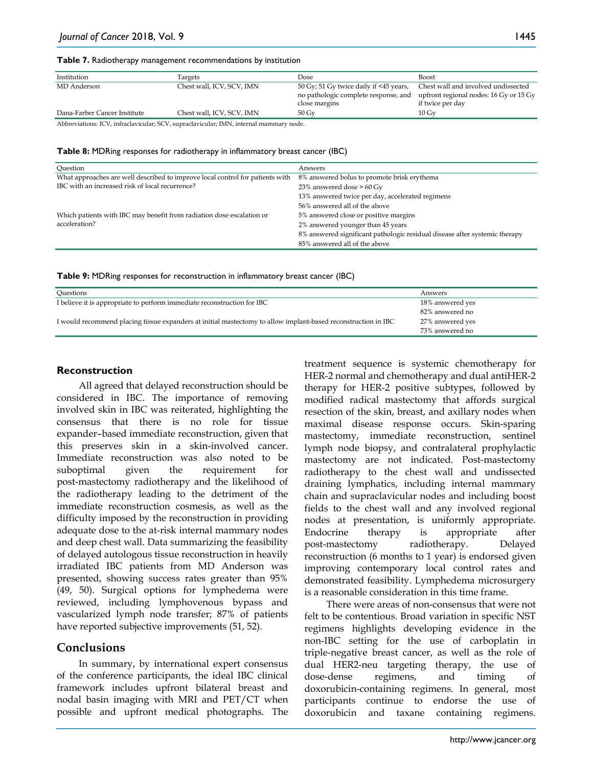| Institution                                                                            | Targets                   | Dose                                                                                            | <b>Boost</b>                                                                                      |  |
|----------------------------------------------------------------------------------------|---------------------------|-------------------------------------------------------------------------------------------------|---------------------------------------------------------------------------------------------------|--|
| MD Anderson                                                                            | Chest wall, ICV, SCV, IMN | 50 Gy; 51 Gy twice daily if <45 years,<br>no pathologic complete response, and<br>close margins | Chest wall and involved undissected<br>upfront regional nodes: 16 Gy or 15 Gy<br>if twice per day |  |
| Dana-Farber Cancer Institute                                                           | Chest wall, ICV, SCV, IMN | $50 \,\mathrm{Gv}$                                                                              | $10\,\mathrm{Gv}$                                                                                 |  |
| Abbreviations: ICV, infraclavicular; SCV, supraclavicular; IMN, internal mammary node. |                           |                                                                                                 |                                                                                                   |  |

**Table 8:** MDRing responses for radiotherapy in inflammatory breast cancer (IBC)

| Ouestion                                                                      | Answers                                                                    |
|-------------------------------------------------------------------------------|----------------------------------------------------------------------------|
| What approaches are well described to improve local control for patients with | 8% answered bolus to promote brisk erythema                                |
| IBC with an increased risk of local recurrence?                               | 23% answered dose $> 60$ Gy                                                |
|                                                                               | 13% answered twice per day, accelerated regimens                           |
|                                                                               | 56% answered all of the above                                              |
| Which patients with IBC may benefit from radiation dose escalation or         | 5% answered close or positive margins                                      |
| acceleration?                                                                 | 2% answered younger than 45 years                                          |
|                                                                               | 8% answered significant pathologic residual disease after systemic therapy |
|                                                                               | 85% answered all of the above                                              |

|  | Table 9: MDRing responses for reconstruction in inflammatory breast cancer (IBC) |  |
|--|----------------------------------------------------------------------------------|--|
|--|----------------------------------------------------------------------------------|--|

| Questions                                                                                                     | Answers          |
|---------------------------------------------------------------------------------------------------------------|------------------|
| I believe it is appropriate to perform immediate reconstruction for IBC                                       | 18% answered yes |
|                                                                                                               | 82% answered no  |
| I would recommend placing tissue expanders at initial mastectomy to allow implant-based reconstruction in IBC | 27% answered yes |
|                                                                                                               | 73% answered no  |

#### **Reconstruction**

All agreed that delayed reconstruction should be considered in IBC. The importance of removing involved skin in IBC was reiterated, highlighting the consensus that there is no role for tissue expander–based immediate reconstruction, given that this preserves skin in a skin-involved cancer. Immediate reconstruction was also noted to be suboptimal given the requirement for post-mastectomy radiotherapy and the likelihood of the radiotherapy leading to the detriment of the immediate reconstruction cosmesis, as well as the difficulty imposed by the reconstruction in providing adequate dose to the at-risk internal mammary nodes and deep chest wall. Data summarizing the feasibility of delayed autologous tissue reconstruction in heavily irradiated IBC patients from MD Anderson was presented, showing success rates greater than 95% (49, 50). Surgical options for lymphedema were reviewed, including lymphovenous bypass and vascularized lymph node transfer; 87% of patients have reported subjective improvements (51, 52).

# **Conclusions**

In summary, by international expert consensus of the conference participants, the ideal IBC clinical framework includes upfront bilateral breast and nodal basin imaging with MRI and PET/CT when possible and upfront medical photographs. The treatment sequence is systemic chemotherapy for HER-2 normal and chemotherapy and dual antiHER-2 therapy for HER-2 positive subtypes, followed by modified radical mastectomy that affords surgical resection of the skin, breast, and axillary nodes when maximal disease response occurs. Skin-sparing mastectomy, immediate reconstruction, sentinel lymph node biopsy, and contralateral prophylactic mastectomy are not indicated. Post-mastectomy radiotherapy to the chest wall and undissected draining lymphatics, including internal mammary chain and supraclavicular nodes and including boost fields to the chest wall and any involved regional nodes at presentation, is uniformly appropriate. Endocrine therapy is appropriate after post-mastectomy radiotherapy. Delayed reconstruction (6 months to 1 year) is endorsed given improving contemporary local control rates and demonstrated feasibility. Lymphedema microsurgery is a reasonable consideration in this time frame.

There were areas of non-consensus that were not felt to be contentious. Broad variation in specific NST regimens highlights developing evidence in the non-IBC setting for the use of carboplatin in triple-negative breast cancer, as well as the role of dual HER2-neu targeting therapy, the use of dose-dense regimens, and timing of doxorubicin-containing regimens. In general, most participants continue to endorse the use of doxorubicin and taxane containing regimens.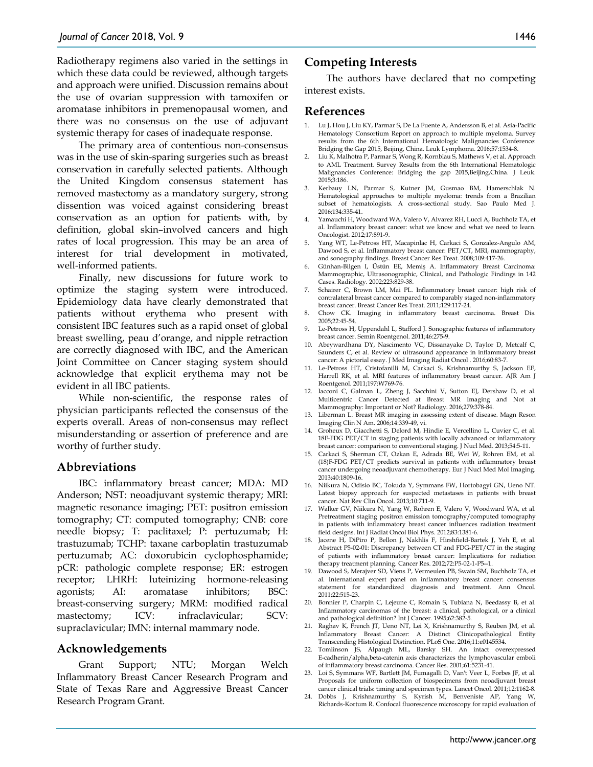Radiotherapy regimens also varied in the settings in which these data could be reviewed, although targets and approach were unified. Discussion remains about the use of ovarian suppression with tamoxifen or aromatase inhibitors in premenopausal women, and there was no consensus on the use of adjuvant systemic therapy for cases of inadequate response.

The primary area of contentious non-consensus was in the use of skin-sparing surgeries such as breast conservation in carefully selected patients. Although the United Kingdom consensus statement has removed mastectomy as a mandatory surgery, strong dissention was voiced against considering breast conservation as an option for patients with, by definition, global skin–involved cancers and high rates of local progression. This may be an area of interest for trial development in motivated, well-informed patients.

Finally, new discussions for future work to optimize the staging system were introduced. Epidemiology data have clearly demonstrated that patients without erythema who present with consistent IBC features such as a rapid onset of global breast swelling, peau d'orange, and nipple retraction are correctly diagnosed with IBC, and the American Joint Committee on Cancer staging system should acknowledge that explicit erythema may not be evident in all IBC patients.

While non-scientific, the response rates of physician participants reflected the consensus of the experts overall. Areas of non-consensus may reflect misunderstanding or assertion of preference and are worthy of further study.

# **Abbreviations**

IBC: inflammatory breast cancer; MDA: MD Anderson; NST: neoadjuvant systemic therapy; MRI: magnetic resonance imaging; PET: positron emission tomography; CT: computed tomography; CNB: core needle biopsy; T: paclitaxel; P: pertuzumab; H: trastuzumab; TCHP: taxane carboplatin trastuzumab pertuzumab; AC: doxorubicin cyclophosphamide; pCR: pathologic complete response; ER: estrogen receptor; LHRH: luteinizing hormone-releasing agonists; AI: aromatase inhibitors; BSC: breast-conserving surgery; MRM: modified radical mastectomy; ICV: infraclavicular; SCV: supraclavicular; IMN: internal mammary node.

# **Acknowledgements**

Grant Support; NTU; Morgan Welch Inflammatory Breast Cancer Research Program and State of Texas Rare and Aggressive Breast Cancer Research Program Grant.

# **Competing Interests**

The authors have declared that no competing interest exists.

### **References**

- 1. Lu J, Hou J, Liu KY, Parmar S, De La Fuente A, Andersson B, et al. Asia-Pacific Hematology Consortium Report on approach to multiple myeloma. Survey results from the 6th International Hematologic Malignancies Conference: Bridging the Gap 2015, Beijing, China. Leuk Lymphoma. 2016;57:1534-8.
- 2. Liu K, Malhotra P, Parmar S, Wong R, Kornblau S, Mathews V, et al. Approach to AML Treatment. Survey Results from the 6th International Hematologic Malignancies Conference: Bridging the gap 2015,Beijing,China. J Leuk. 2015;3:186.
- 3. Kerbauy LN, Parmar S, Kutner JM, Gusmao BM, Hamerschlak N. Hematological approaches to multiple myeloma: trends from a Brazilian subset of hematologists. A cross-sectional study. Sao Paulo Med J. 2016;134:335-41.
- 4. Yamauchi H, Woodward WA, Valero V, Alvarez RH, Lucci A, Buchholz TA, et al. Inflammatory breast cancer: what we know and what we need to learn. Oncologist. 2012;17:891-9.
- 5. Yang WT, Le-Petross HT, Macapinlac H, Carkaci S, Gonzalez-Angulo AM, Dawood S, et al. Inflammatory breast cancer: PET/CT, MRI, mammography, and sonography findings. Breast Cancer Res Treat. 2008;109:417-26.
- 6. Günhan-Bilgen I, Üstün EE, Memiş A. Inflammatory Breast Carcinoma: Mammographic, Ultrasonographic, Clinical, and Pathologic Findings in 142 Cases. Radiology. 2002;223:829-38.
- 7. Schairer C, Brown LM, Mai PL. Inflammatory breast cancer: high risk of contralateral breast cancer compared to comparably staged non-inflammatory breast cancer. Breast Cancer Res Treat. 2011;129:117-24.
- 8. Chow CK. Imaging in inflammatory breast carcinoma. Breast Dis. 2005;22:45-54.
- 9. Le-Petross H, Uppendahl L, Stafford J. Sonographic features of inflammatory breast cancer. Semin Roentgenol. 2011;46:275-9.
- 10. Abeywardhana DY, Nascimento VC, Dissanayake D, Taylor D, Metcalf C, Saunders C, et al. Review of ultrasound appearance in inflammatory breast cancer: A pictorial essay. J Med Imaging Radiat Oncol . 2016;60:83-7.
- 11. Le-Petross HT, Cristofanilli M, Carkaci S, Krishnamurthy S, Jackson EF, Harrell RK, et al. MRI features of inflammatory breast cancer. AJR Am J Roentgenol. 2011;197:W769-76.
- 12. Iacconi C, Galman L, Zheng J, Sacchini V, Sutton EJ, Dershaw D, et al. Multicentric Cancer Detected at Breast MR Imaging and Not at Mammography: Important or Not? Radiology. 2016;279:378-84.
- 13. Liberman L. Breast MR imaging in assessing extent of disease. Magn Reson Imaging Clin N Am. 2006;14:339-49, vi.
- 14. Groheux D, Giacchetti S, Delord M, Hindie E, Vercellino L, Cuvier C, et al. 18F-FDG PET/CT in staging patients with locally advanced or inflammatory breast cancer: comparison to conventional staging. J Nucl Med. 2013;54:5-11.
- 15. Carkaci S, Sherman CT, Ozkan E, Adrada BE, Wei W, Rohren EM, et al. (18)F-FDG PET/CT predicts survival in patients with inflammatory breast cancer undergoing neoadjuvant chemotherapy. Eur J Nucl Med Mol Imaging. 2013;40:1809-16.
- 16. Niikura N, Odisio BC, Tokuda Y, Symmans FW, Hortobagyi GN, Ueno NT. Latest biopsy approach for suspected metastases in patients with breast cancer. Nat Rev Clin Oncol. 2013;10:711-9.
- 17. Walker GV, Niikura N, Yang W, Rohren E, Valero V, Woodward WA, et al. Pretreatment staging positron emission tomography/computed tomography in patients with inflammatory breast cancer influences radiation treatment field designs. Int J Radiat Oncol Biol Phys. 2012;83:1381-6.
- 18. Jacene H, DiPiro P, Bellon J, Nakhlis F, Hirshfield-Bartek J, Yeh E, et al. Abstract P5-02-01: Discrepancy between CT and FDG-PET/CT in the staging of patients with inflammatory breast cancer: Implications for radiation therapy treatment planning. Cancer Res. 2012;72:P5-02-1-P5--1.
- 19. Dawood S, Merajver SD, Viens P, Vermeulen PB, Swain SM, Buchholz TA, et al. International expert panel on inflammatory breast cancer: consensus statement for standardized diagnosis and treatment. Ann Oncol. 2011;22:515-23.
- 20. Bonnier P, Charpin C, Lejeune C, Romain S, Tubiana N, Beedassy B, et al. Inflammatory carcinomas of the breast: a clinical, pathological, or a clinical and pathological definition? Int J Cancer. 1995;62:382-5.
- 21. Raghav K, French JT, Ueno NT, Lei X, Krishnamurthy S, Reuben JM, et al. Inflammatory Breast Cancer: A Distinct Clinicopathological Entity Transcending Histological Distinction. PLoS One. 2016;11:e0145534.
- 22. Tomlinson JS, Alpaugh ML, Barsky SH. An intact overexpressed E-cadherin/alpha,beta-catenin axis characterizes the lymphovascular emboli of inflammatory breast carcinoma. Cancer Res. 2001;61:5231-41.
- 23. Loi S, Symmans WF, Bartlett JM, Fumagalli D, Van't Veer L, Forbes JF, et al. Proposals for uniform collection of biospecimens from neoadjuvant breast cancer clinical trials: timing and specimen types. Lancet Oncol. 2011;12:1162-8.
- 24. Dobbs J, Krishnamurthy S, Kyrish M, Benveniste AP, Yang W, Richards-Kortum R. Confocal fluorescence microscopy for rapid evaluation of